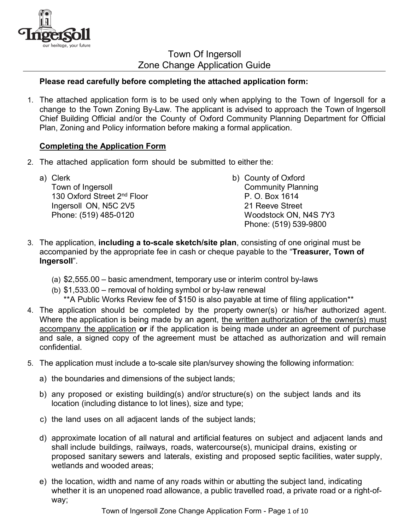

Town Of Ingersoll Zone Change Application Guide

## **Please read carefully before completing the attached application form:**

1. The attached application form is to be used only when applying to the Town of Ingersoll for a change to the Town Zoning By-Law. The applicant is advised to approach the Town of Ingersoll Chief Building Official and/or the County of Oxford Community Planning Department for Official Plan, Zoning and Policy information before making a formal application.

### **Completing the Application Form**

2. The attached application form should be submitted to either the:

| a) Clerk                                | b) County of Oxford       |
|-----------------------------------------|---------------------------|
| Town of Ingersoll                       | <b>Community Planning</b> |
| 130 Oxford Street 2 <sup>nd</sup> Floor | P. O. Box 1614            |
| Ingersoll ON, N5C 2V5                   | 21 Reeve Street           |
| Phone: (519) 485-0120                   | Woodstock ON, N4S 7Y3     |
|                                         | Phone: (519) 539-9800     |

- 3. The application, **including a to-scale sketch/site plan**, consisting of one original must be accompanied by the appropriate fee in cash or cheque payable to the "**Treasurer, Town of Ingersoll**".
	- (a) \$2,555.00 basic amendment, temporary use or interim control by-laws
	- (b) \$1,533.00 removal of holding symbol or by-law renewal
		- \*\*A Public Works Review fee of \$150 is also payable at time of filing application\*\*
- 4. The application should be completed by the property owner(s) or his/her authorized agent. Where the application is being made by an agent, the written authorization of the owner(s) must accompany the application **or** if the application is being made under an agreement of purchase and sale, a signed copy of the agreement must be attached as authorization and will remain confidential.
- 5. The application must include a to-scale site plan/survey showing the following information:
	- a) the boundaries and dimensions of the subject lands;
	- b) any proposed or existing building(s) and/or structure(s) on the subject lands and its location (including distance to lot lines), size and type;
	- c) the land uses on all adjacent lands of the subject lands;
	- d) approximate location of all natural and artificial features on subject and adjacent lands and shall include buildings, railways, roads, watercourse(s), municipal drains, existing or proposed sanitary sewers and laterals, existing and proposed septic facilities, water supply, wetlands and wooded areas;
	- e) the location, width and name of any roads within or abutting the subject land, indicating whether it is an unopened road allowance, a public travelled road, a private road or a right-ofway;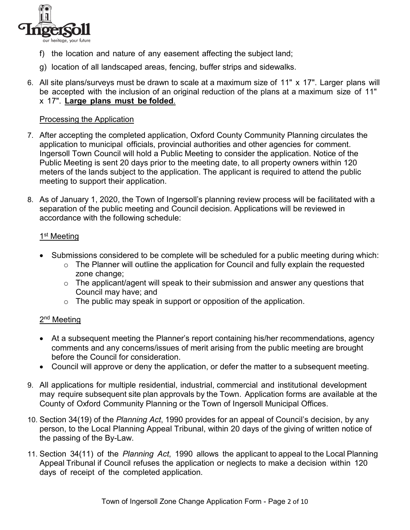

- f) the location and nature of any easement affecting the subject land;
- g) location of all landscaped areas, fencing, buffer strips and sidewalks.
- 6. All site plans/surveys must be drawn to scale at a maximum size of 11" x 17". Larger plans will be accepted with the inclusion of an original reduction of the plans at a maximum size of 11" x 17". **Large plans must be folded**.

### Processing the Application

- 7. After accepting the completed application, Oxford County Community Planning circulates the application to municipal officials, provincial authorities and other agencies for comment. Ingersoll Town Council will hold a Public Meeting to consider the application. Notice of the Public Meeting is sent 20 days prior to the meeting date, to all property owners within 120 meters of the lands subject to the application. The applicant is required to attend the public meeting to support their application.
- 8. As of January 1, 2020, the Town of Ingersoll's planning review process will be facilitated with a separation of the public meeting and Council decision. Applications will be reviewed in accordance with the following schedule:

### 1<sup>st</sup> Meeting

- Submissions considered to be complete will be scheduled for a public meeting during which:
	- o The Planner will outline the application for Council and fully explain the requested zone change;
	- o The applicant/agent will speak to their submission and answer any questions that Council may have; and
	- $\circ$  The public may speak in support or opposition of the application.

### 2<sup>nd</sup> Meeting

- At a subsequent meeting the Planner's report containing his/her recommendations, agency comments and any concerns/issues of merit arising from the public meeting are brought before the Council for consideration.
- Council will approve or deny the application, or defer the matter to a subsequent meeting.
- 9. All applications for multiple residential, industrial, commercial and institutional development may require subsequent site plan approvals by the Town. Application forms are available at the County of Oxford Community Planning or the Town of Ingersoll Municipal Offices.
- 10. Section 34(19) of the *Planning Act*, 1990 provides for an appeal of Council's decision, by any person, to the Local Planning Appeal Tribunal, within 20 days of the giving of written notice of the passing of the By-Law.
- 11. Section 34(11) of the *Planning Act*, 1990 allows the applicant to appeal to the Local Planning Appeal Tribunal if Council refuses the application or neglects to make a decision within 120 days of receipt of the completed application.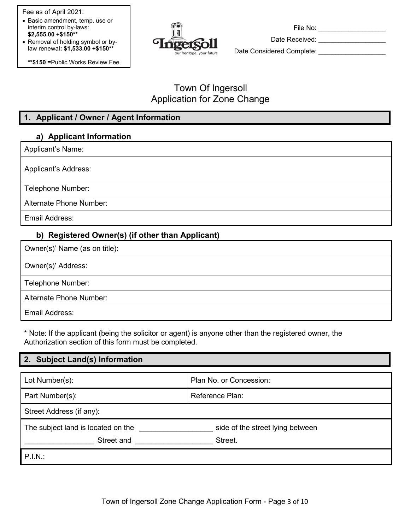Fee as of April 2021:

- Basic amendment, temp. use or interim control by-laws: **\$2,555.00 +\$150\*\***
- Removal of holding symbol or bylaw renewal**: \$1,533.00 +\$150\*\***

**\*\*\$150 =**Public Works Review Fee



File No: **Example 1** 

Date Received: \_\_\_\_\_\_\_\_\_\_\_\_\_\_\_\_\_\_\_\_

Date Considered Complete:

# Town Of Ingersoll Application for Zone Change

# **1. Applicant / Owner / Agent Information**

# **a) Applicant Information**

Applicant's Name:

Applicant's Address:

Telephone Number:

Alternate Phone Number:

Email Address:

## **b) Registered Owner(s) (if other than Applicant)**

Owner(s)' Name (as on title):

Owner(s)' Address:

Telephone Number:

Alternate Phone Number:

Email Address:

\* Note: If the applicant (being the solicitor or agent) is anyone other than the registered owner, the Authorization section of this form must be completed.

### **2. Subject Land(s) Information**

| Lot Number(s):                     | Plan No. or Concession:          |  |
|------------------------------------|----------------------------------|--|
| Part Number(s):                    | Reference Plan:                  |  |
| Street Address (if any):           |                                  |  |
| The subject land is located on the | side of the street lying between |  |
| Street and                         | Street.                          |  |
| P.I.N.:                            |                                  |  |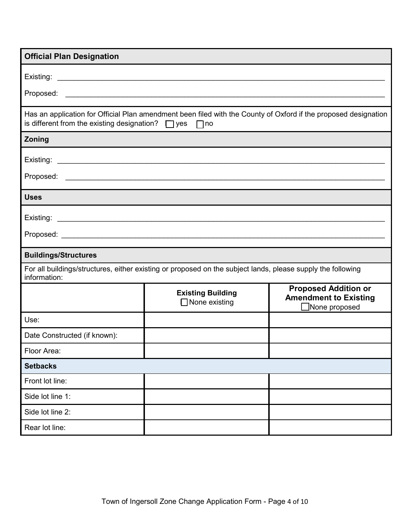| <b>Official Plan Designation</b>                                 |                                                                                                                      |                                                                                     |  |
|------------------------------------------------------------------|----------------------------------------------------------------------------------------------------------------------|-------------------------------------------------------------------------------------|--|
|                                                                  |                                                                                                                      |                                                                                     |  |
|                                                                  |                                                                                                                      |                                                                                     |  |
|                                                                  |                                                                                                                      |                                                                                     |  |
| is different from the existing designation? $\Box$ yes $\Box$ no | Has an application for Official Plan amendment been filed with the County of Oxford if the proposed designation      |                                                                                     |  |
| Zoning                                                           |                                                                                                                      |                                                                                     |  |
|                                                                  |                                                                                                                      |                                                                                     |  |
|                                                                  |                                                                                                                      |                                                                                     |  |
| <b>Uses</b>                                                      |                                                                                                                      |                                                                                     |  |
| Existing:                                                        | <u> 1989 - Johann Barbara, martin amerikan basar dan berasal dalam basa dalam basar dalam basar dalam basar dala</u> |                                                                                     |  |
|                                                                  |                                                                                                                      |                                                                                     |  |
| <b>Buildings/Structures</b>                                      |                                                                                                                      |                                                                                     |  |
| information:                                                     | For all buildings/structures, either existing or proposed on the subject lands, please supply the following          |                                                                                     |  |
|                                                                  | <b>Existing Building</b><br>$\Box$ None existing                                                                     | <b>Proposed Addition or</b><br><b>Amendment to Existing</b><br>$\Box$ None proposed |  |
| Use:                                                             |                                                                                                                      |                                                                                     |  |
| Date Constructed (if known):                                     |                                                                                                                      |                                                                                     |  |
| Floor Area:                                                      |                                                                                                                      |                                                                                     |  |
| <b>Setbacks</b>                                                  |                                                                                                                      |                                                                                     |  |
| Front lot line:                                                  |                                                                                                                      |                                                                                     |  |
| Side lot line 1:                                                 |                                                                                                                      |                                                                                     |  |
| Side lot line 2:                                                 |                                                                                                                      |                                                                                     |  |
| Rear lot line:                                                   |                                                                                                                      |                                                                                     |  |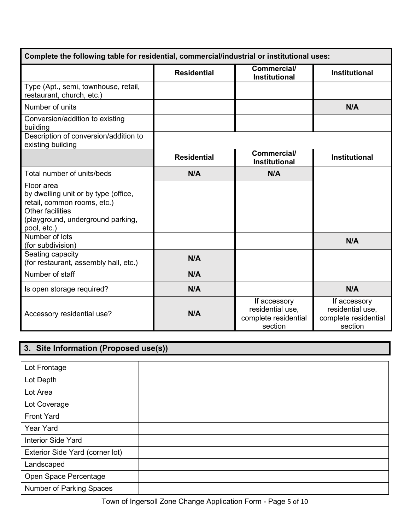| Complete the following table for residential, commercial/industrial or institutional uses: |                    |                                                                     |                                                                     |  |  |
|--------------------------------------------------------------------------------------------|--------------------|---------------------------------------------------------------------|---------------------------------------------------------------------|--|--|
|                                                                                            | <b>Residential</b> | Commercial/<br><b>Institutional</b>                                 | <b>Institutional</b>                                                |  |  |
| Type (Apt., semi, townhouse, retail,<br>restaurant, church, etc.)                          |                    |                                                                     |                                                                     |  |  |
| Number of units                                                                            |                    |                                                                     | N/A                                                                 |  |  |
| Conversion/addition to existing<br>building                                                |                    |                                                                     |                                                                     |  |  |
| Description of conversion/addition to<br>existing building                                 |                    |                                                                     |                                                                     |  |  |
|                                                                                            | <b>Residential</b> | Commercial/<br><b>Institutional</b>                                 | <b>Institutional</b>                                                |  |  |
| Total number of units/beds                                                                 | N/A                | N/A                                                                 |                                                                     |  |  |
| Floor area<br>by dwelling unit or by type (office,<br>retail, common rooms, etc.)          |                    |                                                                     |                                                                     |  |  |
| <b>Other facilities</b><br>(playground, underground parking,<br>pool, etc.)                |                    |                                                                     |                                                                     |  |  |
| Number of lots<br>(for subdivision)                                                        |                    |                                                                     | N/A                                                                 |  |  |
| Seating capacity<br>(for restaurant, assembly hall, etc.)                                  | N/A                |                                                                     |                                                                     |  |  |
| Number of staff                                                                            | N/A                |                                                                     |                                                                     |  |  |
| Is open storage required?                                                                  | N/A                |                                                                     | N/A                                                                 |  |  |
| Accessory residential use?                                                                 | N/A                | If accessory<br>residential use,<br>complete residential<br>section | If accessory<br>residential use,<br>complete residential<br>section |  |  |

# **3. Site Information (Proposed use(s))**

| Lot Frontage                    |  |
|---------------------------------|--|
| Lot Depth                       |  |
| Lot Area                        |  |
| Lot Coverage                    |  |
| <b>Front Yard</b>               |  |
| <b>Year Yard</b>                |  |
| <b>Interior Side Yard</b>       |  |
| Exterior Side Yard (corner lot) |  |
| Landscaped                      |  |
| Open Space Percentage           |  |
| Number of Parking Spaces        |  |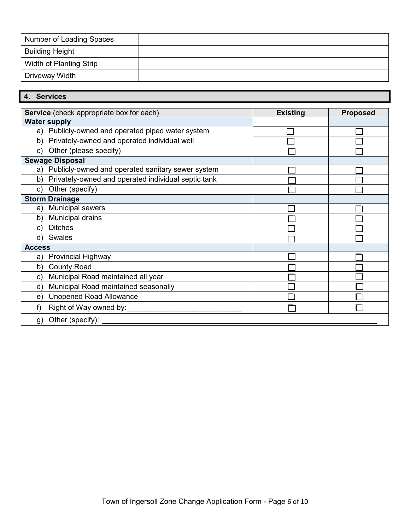| Number of Loading Spaces |  |
|--------------------------|--|
| <b>Building Height</b>   |  |
| Width of Planting Strip  |  |
| Driveway Width           |  |

# **4. Services**

|               | <b>Service</b> (check appropriate box for each)      | <b>Existing</b> | <b>Proposed</b> |
|---------------|------------------------------------------------------|-----------------|-----------------|
|               | <b>Water supply</b>                                  |                 |                 |
|               | a) Publicly-owned and operated piped water system    |                 |                 |
| b)            | Privately-owned and operated individual well         |                 |                 |
| C)            | Other (please specify)                               |                 |                 |
|               | <b>Sewage Disposal</b>                               |                 |                 |
|               | a) Publicly-owned and operated sanitary sewer system |                 |                 |
| b)            | Privately-owned and operated individual septic tank  |                 |                 |
| C)            | Other (specify)                                      |                 |                 |
|               | <b>Storm Drainage</b>                                |                 |                 |
| a)            | Municipal sewers                                     |                 |                 |
| b)            | Municipal drains                                     |                 |                 |
| $\mathbf{C}$  | <b>Ditches</b>                                       |                 |                 |
| d)            | <b>Swales</b>                                        |                 |                 |
| <b>Access</b> |                                                      |                 |                 |
| a)            | <b>Provincial Highway</b>                            |                 |                 |
| b)            | <b>County Road</b>                                   |                 |                 |
| C)            | Municipal Road maintained all year                   |                 |                 |
| d)            | Municipal Road maintained seasonally                 |                 |                 |
| e)            | <b>Unopened Road Allowance</b>                       |                 |                 |
| f)            | Right of Way owned by:                               |                 |                 |
| g)            | Other (specify):                                     |                 |                 |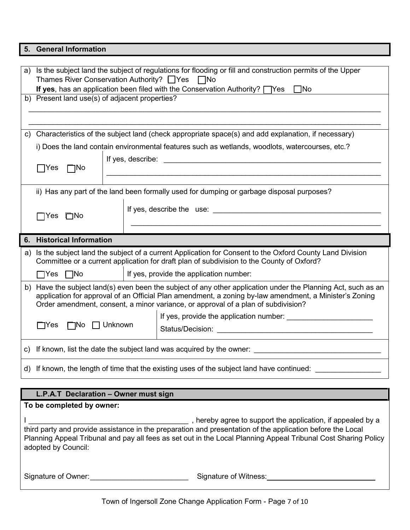### **5. General Information**

| a) | Is the subject land the subject of regulations for flooding or fill and construction permits of the Upper |  |                                                                                                            |  |  |
|----|-----------------------------------------------------------------------------------------------------------|--|------------------------------------------------------------------------------------------------------------|--|--|
|    | Thames River Conservation Authority? □ Yes<br>$\Box$ No                                                   |  |                                                                                                            |  |  |
|    | If yes, has an application been filed with the Conservation Authority? $\Box$ Yes $\Box$ No               |  |                                                                                                            |  |  |
|    | b) Present land use(s) of adjacent properties?                                                            |  |                                                                                                            |  |  |
|    |                                                                                                           |  |                                                                                                            |  |  |
|    |                                                                                                           |  |                                                                                                            |  |  |
|    |                                                                                                           |  |                                                                                                            |  |  |
|    |                                                                                                           |  | c) Characteristics of the subject land (check appropriate space(s) and add explanation, if necessary)      |  |  |
|    |                                                                                                           |  | i) Does the land contain environmental features such as wetlands, woodlots, watercourses, etc.?            |  |  |
|    |                                                                                                           |  |                                                                                                            |  |  |
|    | $\Box$ Yes<br>$\square$ No                                                                                |  |                                                                                                            |  |  |
|    |                                                                                                           |  |                                                                                                            |  |  |
|    |                                                                                                           |  | ii) Has any part of the land been formally used for dumping or garbage disposal purposes?                  |  |  |
|    |                                                                                                           |  |                                                                                                            |  |  |
|    |                                                                                                           |  | If yes, describe the use: If yes, describe the use:                                                        |  |  |
|    | $\Box$ Yes $\Box$ No                                                                                      |  |                                                                                                            |  |  |
|    |                                                                                                           |  |                                                                                                            |  |  |
|    |                                                                                                           |  |                                                                                                            |  |  |
|    |                                                                                                           |  |                                                                                                            |  |  |
|    | 6. Historical Information                                                                                 |  |                                                                                                            |  |  |
|    |                                                                                                           |  | a) Is the subject land the subject of a current Application for Consent to the Oxford County Land Division |  |  |
|    |                                                                                                           |  | Committee or a current application for draft plan of subdivision to the County of Oxford?                  |  |  |
|    | $\Box$ Yes $\Box$ No                                                                                      |  | If yes, provide the application number:                                                                    |  |  |
| b) |                                                                                                           |  | Have the subject land(s) even been the subject of any other application under the Planning Act, such as an |  |  |
|    |                                                                                                           |  | application for approval of an Official Plan amendment, a zoning by-law amendment, a Minister's Zoning     |  |  |
|    |                                                                                                           |  | Order amendment, consent, a minor variance, or approval of a plan of subdivision?                          |  |  |
|    |                                                                                                           |  |                                                                                                            |  |  |
|    | $\Box$ No $\Box$ Unknown<br>$\Box$ Yes                                                                    |  |                                                                                                            |  |  |
|    |                                                                                                           |  |                                                                                                            |  |  |
|    |                                                                                                           |  |                                                                                                            |  |  |
|    |                                                                                                           |  |                                                                                                            |  |  |

## **L.P.A.T Declaration – Owner must sign**

**To be completed by owner:** I \_\_\_\_\_\_\_\_\_\_\_\_\_\_\_\_\_\_\_\_\_\_\_\_\_\_\_\_\_\_\_\_\_\_\_\_\_\_\_ , hereby agree to support the application, if appealed by a third party and provide assistance in the preparation and presentation of the application before the Local Planning Appeal Tribunal and pay all fees as set out in the Local Planning Appeal Tribunal Cost Sharing Policy adopted by Council:

Signature of Owner: etc. All and Signature of Witness: etc. All and Signature of Witness: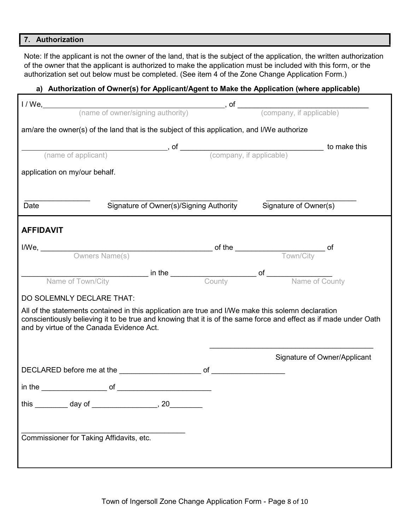#### **7. Authorization**

Note: If the applicant is not the owner of the land, that is the subject of the application, the written authorization of the owner that the applicant is authorized to make the application must be included with this form, or the authorization set out below must be completed. (See item 4 of the Zone Change Application Form.)

## **a) Authorization of Owner(s) for Applicant/Agent to Make the Application (where applicable)**

| am/are the owner(s) of the land that is the subject of this application, and I/We authorize                                                                    |                                                                                                                      |                       |                              |
|----------------------------------------------------------------------------------------------------------------------------------------------------------------|----------------------------------------------------------------------------------------------------------------------|-----------------------|------------------------------|
|                                                                                                                                                                |                                                                                                                      |                       |                              |
|                                                                                                                                                                | (name of applicant) <b>and COV</b> , of <u>Company</u> , if applicable) <b>to make this</b> (company, if applicable) |                       |                              |
| application on my/our behalf.                                                                                                                                  |                                                                                                                      |                       |                              |
|                                                                                                                                                                |                                                                                                                      |                       |                              |
| Date                                                                                                                                                           | Signature of Owner(s)/Signing Authority                                                                              | Signature of Owner(s) |                              |
|                                                                                                                                                                |                                                                                                                      |                       |                              |
| <b>AFFIDAVIT</b>                                                                                                                                               |                                                                                                                      |                       |                              |
|                                                                                                                                                                |                                                                                                                      |                       |                              |
|                                                                                                                                                                |                                                                                                                      |                       |                              |
|                                                                                                                                                                | Name of Town/City <b>and County in the County County of Name of County</b>                                           |                       |                              |
|                                                                                                                                                                |                                                                                                                      |                       |                              |
| DO SOLEMNLY DECLARE THAT:                                                                                                                                      |                                                                                                                      |                       |                              |
| All of the statements contained in this application are true and I/We make this solemn declaration                                                             |                                                                                                                      |                       |                              |
| conscientiously believing it to be true and knowing that it is of the same force and effect as if made under Oath<br>and by virtue of the Canada Evidence Act. |                                                                                                                      |                       |                              |
|                                                                                                                                                                |                                                                                                                      |                       |                              |
|                                                                                                                                                                |                                                                                                                      |                       | Signature of Owner/Applicant |
|                                                                                                                                                                |                                                                                                                      |                       |                              |
| $\mathsf{in\, the}\_\_\_\_\_\_\_ \$ of $\_\_\_\_\_\_\_\_\_\_\_\_ \$                                                                                            |                                                                                                                      |                       |                              |
| this _________ day of _________________, 20_________                                                                                                           |                                                                                                                      |                       |                              |
|                                                                                                                                                                |                                                                                                                      |                       |                              |
|                                                                                                                                                                |                                                                                                                      |                       |                              |
| Commissioner for Taking Affidavits, etc.                                                                                                                       |                                                                                                                      |                       |                              |
|                                                                                                                                                                |                                                                                                                      |                       |                              |
|                                                                                                                                                                |                                                                                                                      |                       |                              |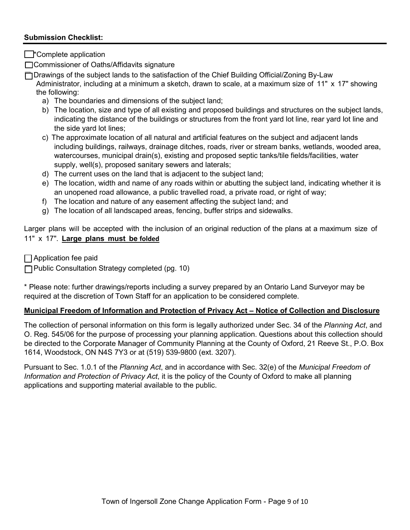### **Submission Checklist:**

 $\Box$ \*Complete application

□ Commissioner of Oaths/Affidavits signature

☐ Drawings of the subject lands to the satisfaction of the Chief Building Official/Zoning By-Law

Administrator, including at a minimum a sketch, drawn to scale, at a maximum size of 11" x 17" showing the following:

- a) The boundaries and dimensions of the subject land;
- b) The location, size and type of all existing and proposed buildings and structures on the subject lands, indicating the distance of the buildings or structures from the front yard lot line, rear yard lot line and the side yard lot lines;
- c) The approximate location of all natural and artificial features on the subject and adjacent lands including buildings, railways, drainage ditches, roads, river or stream banks, wetlands, wooded area, watercourses, municipal drain(s), existing and proposed septic tanks/tile fields/facilities, water supply, well(s), proposed sanitary sewers and laterals;
- d) The current uses on the land that is adjacent to the subject land;
- e) The location, width and name of any roads within or abutting the subject land, indicating whether it is an unopened road allowance, a public travelled road, a private road, or right of way;
- f) The location and nature of any easement affecting the subject land; and
- g) The location of all landscaped areas, fencing, buffer strips and sidewalks.

Larger plans will be accepted with the inclusion of an original reduction of the plans at a maximum size of 11" x 17". **Large plans must be folded**

 $\Box$  Application fee paid

☐ Public Consultation Strategy completed (pg. 10)

\* Please note: further drawings/reports including a survey prepared by an Ontario Land Surveyor may be required at the discretion of Town Staff for an application to be considered complete.

### **Municipal Freedom of Information and Protection of Privacy Act – Notice of Collection and Disclosure**

The collection of personal information on this form is legally authorized under Sec. 34 of the *Planning Act*, and O. Reg. 545/06 for the purpose of processing your planning application. Questions about this collection should be directed to the Corporate Manager of Community Planning at the County of Oxford, 21 Reeve St., P.O. Box 1614, Woodstock, ON N4S 7Y3 or at (519) 539-9800 (ext. 3207).

Pursuant to Sec. 1.0.1 of the *Planning Act*, and in accordance with Sec. 32(e) of the *Municipal Freedom of Information and Protection of Privacy Act*, it is the policy of the County of Oxford to make all planning applications and supporting material available to the public.